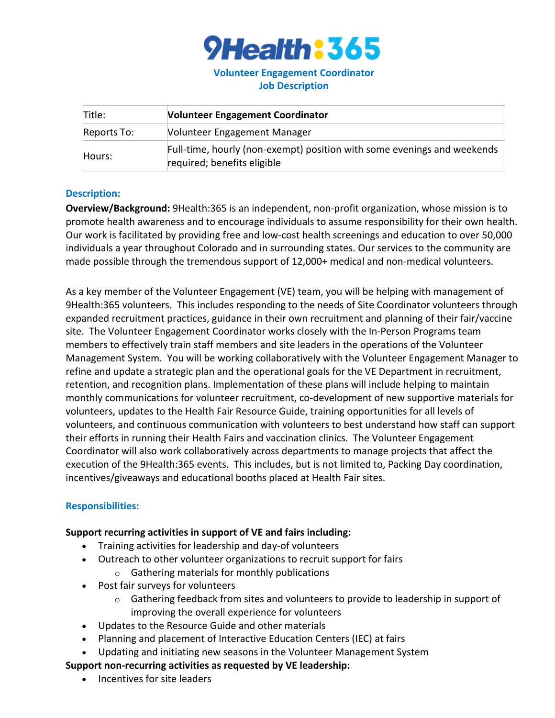

# **Volunteer Engagement Coordinator Job Description**

| Title:      | <b>Volunteer Engagement Coordinator</b>                                                                |
|-------------|--------------------------------------------------------------------------------------------------------|
| Reports To: | Volunteer Engagement Manager                                                                           |
| Hours:      | Full-time, hourly (non-exempt) position with some evenings and weekends<br>required; benefits eligible |

#### **Description:**

**Overview/Background:** 9Health:365 is an independent, non-profit organization, whose mission is to promote health awareness and to encourage individuals to assume responsibility for their own health. Our work is facilitated by providing free and low-cost health screenings and education to over 50,000 individuals a year throughout Colorado and in surrounding states. Our services to the community are made possible through the tremendous support of 12,000+ medical and non-medical volunteers.

As a key member of the Volunteer Engagement (VE) team, you will be helping with management of 9Health:365 volunteers. This includes responding to the needs of Site Coordinator volunteers through expanded recruitment practices, guidance in their own recruitment and planning of their fair/vaccine site. The Volunteer Engagement Coordinator works closely with the In-Person Programs team members to effectively train staff members and site leaders in the operations of the Volunteer Management System. You will be working collaboratively with the Volunteer Engagement Manager to refine and update a strategic plan and the operational goals for the VE Department in recruitment, retention, and recognition plans. Implementation of these plans will include helping to maintain monthly communications for volunteer recruitment, co-development of new supportive materials for volunteers, updates to the Health Fair Resource Guide, training opportunities for all levels of volunteers, and continuous communication with volunteers to best understand how staff can support their efforts in running their Health Fairs and vaccination clinics. The Volunteer Engagement Coordinator will also work collaboratively across departments to manage projects that affect the execution of the 9Health:365 events. This includes, but is not limited to, Packing Day coordination, incentives/giveaways and educational booths placed at Health Fair sites.

## **Responsibilities:**

#### **Support recurring activities in support of VE and fairs including:**

- Training activities for leadership and day-of volunteers
- Outreach to other volunteer organizations to recruit support for fairs
	- o Gathering materials for monthly publications
- Post fair surveys for volunteers
	- $\circ$  Gathering feedback from sites and volunteers to provide to leadership in support of improving the overall experience for volunteers
- Updates to the Resource Guide and other materials
- Planning and placement of Interactive Education Centers (IEC) at fairs
- Updating and initiating new seasons in the Volunteer Management System

## **Support non-recurring activities as requested by VE leadership:**

• Incentives for site leaders